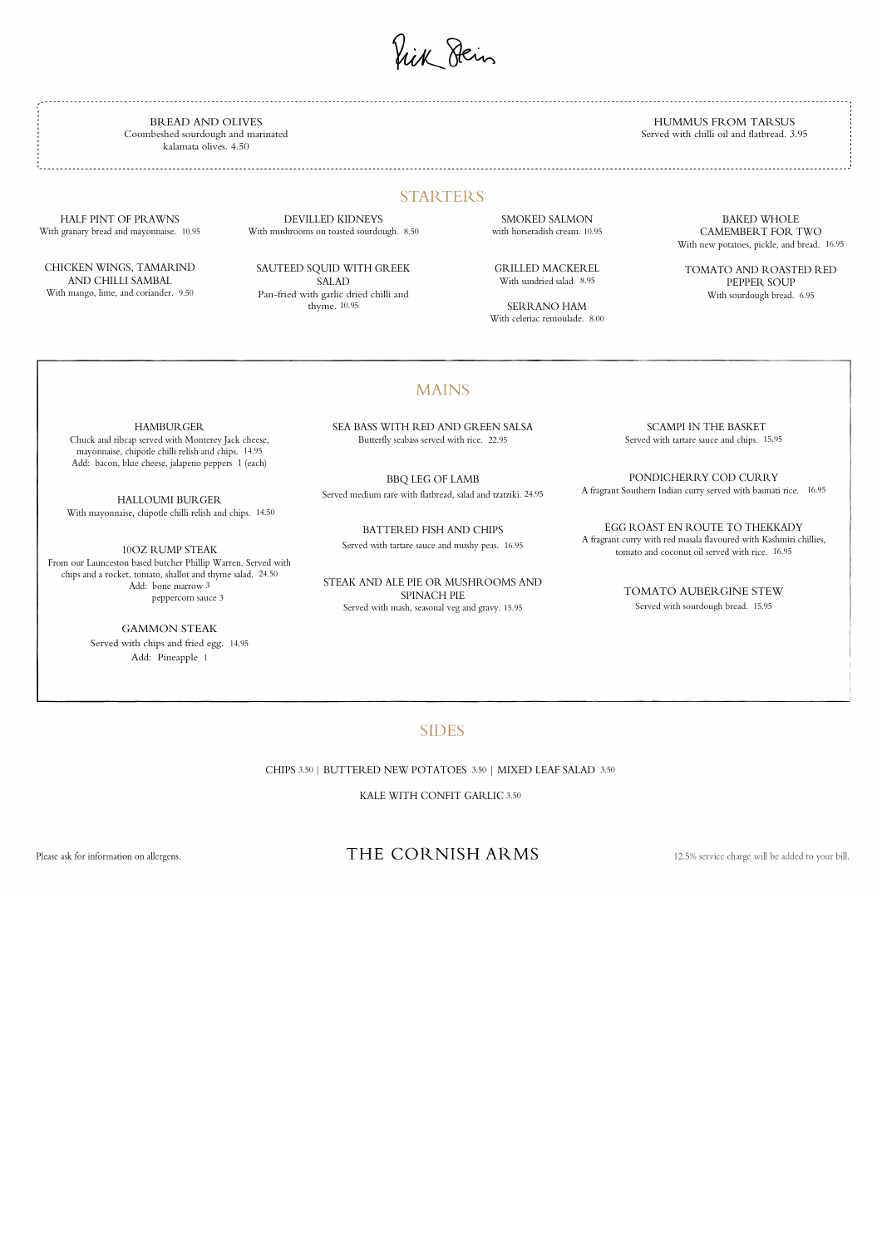ik Dein

BREAD AND OLIVES Coombeshed sourdough and marinated kalamata olives. 4.50

HUMMUS FROM TARSUS Served with chilli oil and flatbread. 3.95

### **STARTERS**

HALF PINT OF PRAWNS With granary bread and mayonnaise. 10.95

CHICKEN WINGS, TAMARIND AND CHILLI SAMBAL With mango, lime, and coriander. 9.50

# DEVILLED KIDNEYS

With mushrooms on toasted sourdough. 8.50 SMOKED SALMON

SAUTEED SQUID WITH GREEK SALAD Pan-fried with garlic dried chilli and thyme. 10.95

with horseradish cream. 10.95

GRILLED MACKEREL

With sundried salad. 8.95

SERRANO HAM

With celeriac remoulade. 8.00

#### **MAINS**

BAKED WHOLE CAMEMBERT FOR TWO With new potatoes, pickle, and bread. 16.95

TOMATO AND ROASTED RED PEPPER SOUP With sourdough bread. 6.95

HAMBURGER

Chuck and ribcap served with Monterey Jack cheese, mayonnaise, chipotle chilli relish and chips. 14.95 Add: bacon, blue cheese, jalapeno peppers 1 (each)

HALLOUMI BURGER With mayonnaise, chipotle chilli relish and chips. 14.50

10OZ RUMP STEAK From our Launceston based butcher Phillip Warren. Served with chips and a rocket, tomato, shallot and thyme salad. 24.50 Add: bone marrow 3 peppercorn sauce 3

> GAMMON STEAK Served with chips and fried egg. 14.95

Add: Pineapple 1

SEA BASS WITH RED AND GREEN SALSA Butterfly seabass served with rice. 22.95

BBQ LEG OF LAMB Served medium rare with flatbread, salad and tzatziki. 24.95

BATTERED FISH AND CHIPS Served with tartare sauce and mushy peas. 16.95

STEAK AND ALE PIE OR MUSHROOMS AND SPINACH PIE Served with mash, seasonal veg and gravy. 15.95

 SCAMPI IN THE BASKET Served with tartare sauce and chips. 15.95

PONDICHERRY COD CURRY A fragrant Southern Indian curry served with basmati rice. 16.95

EGG ROAST EN ROUTE TO THEKKADY A fragrant curry with red masala flavoured with Kashmiri chillies, tomato and coconut oil served with rice. 16.95

> TOMATO AUBERGINE STEW Served with sourdough bread. 15.95

#### **SIDES**

CHIPS 3.50 | BUTTERED NEW POTATOES 3.50 | MIXED LEAF SALAD 3.50

KALE WITH CONFIT GARLIC 3.50

Please ask for information on allergens.

## THE CORNISH ARMS

12.5% service charge will be added to your bill.